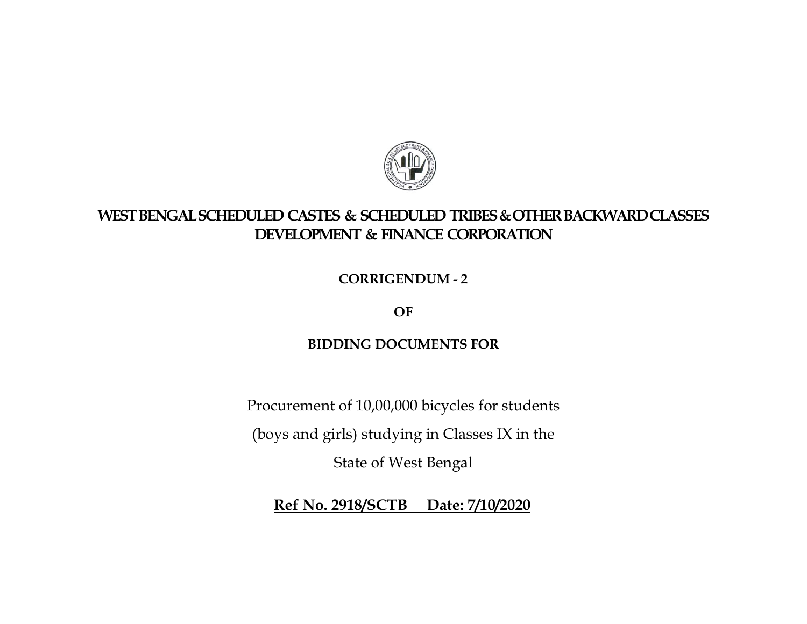

## WEST BENGAL SCHEDULED CASTES & SCHEDULED TRIBES & OTHER BACKWARD CLASSES DEVELOPMENT & FINANCE CORPORATION

CORRIGENDUM - 2

OF

## BIDDING DOCUMENTS FOR

Procurement of 10,00,000 bicycles for students

(boys and girls) studying in Classes IX in the

State of West Bengal

Ref No. 2918/SCTB Date: 7/10/2020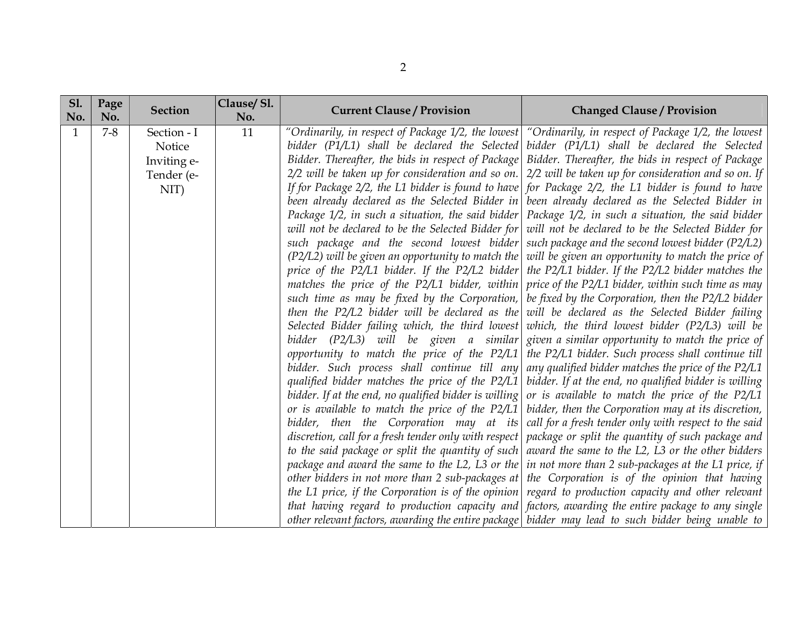| <b>S1.</b><br>No. | Page<br>No. | <b>Section</b>                                             | Clause/Sl.<br>No. | <b>Current Clause / Provision</b> | <b>Changed Clause / Provision</b>                                                                                                                                                                                                                                                                                                                                                                                                                                                                                                                                                                                                                                                                                                                                                                                                                                                                                                                                                                                                                                                                                                                                                                                                                                                                                                                                                                                                                                                                                                                                                                                                                                                                                                                                                                                                                                                                                                                                                                                                                                                                                                                                                                                                                                                                                                                                                                                                                                                                                                                                                                                                                                                                                                                                                                                                                                                                                                                                                                                                                                                          |
|-------------------|-------------|------------------------------------------------------------|-------------------|-----------------------------------|--------------------------------------------------------------------------------------------------------------------------------------------------------------------------------------------------------------------------------------------------------------------------------------------------------------------------------------------------------------------------------------------------------------------------------------------------------------------------------------------------------------------------------------------------------------------------------------------------------------------------------------------------------------------------------------------------------------------------------------------------------------------------------------------------------------------------------------------------------------------------------------------------------------------------------------------------------------------------------------------------------------------------------------------------------------------------------------------------------------------------------------------------------------------------------------------------------------------------------------------------------------------------------------------------------------------------------------------------------------------------------------------------------------------------------------------------------------------------------------------------------------------------------------------------------------------------------------------------------------------------------------------------------------------------------------------------------------------------------------------------------------------------------------------------------------------------------------------------------------------------------------------------------------------------------------------------------------------------------------------------------------------------------------------------------------------------------------------------------------------------------------------------------------------------------------------------------------------------------------------------------------------------------------------------------------------------------------------------------------------------------------------------------------------------------------------------------------------------------------------------------------------------------------------------------------------------------------------------------------------------------------------------------------------------------------------------------------------------------------------------------------------------------------------------------------------------------------------------------------------------------------------------------------------------------------------------------------------------------------------------------------------------------------------------------------------------------------------|
| $\mathbf{1}$      | $7 - 8$     | Section - I<br>Notice<br>Inviting e-<br>Tender (e-<br>NIT) | 11                |                                   | "Ordinarily, in respect of Package 1/2, the lowest "Ordinarily, in respect of Package 1/2, the lowest<br>bidder (P1/L1) shall be declared the Selected bidder (P1/L1) shall be declared the Selected<br>Bidder. Thereafter, the bids in respect of Package Bidder. Thereafter, the bids in respect of Package<br>$2/2$ will be taken up for consideration and so on. $\vert$ 2/2 will be taken up for consideration and so on. If<br>If for Package $2/2$ , the L1 bidder is found to have for Package $2/2$ , the L1 bidder is found to have<br>been already declared as the Selected Bidder in been already declared as the Selected Bidder in<br>Package $1/2$ , in such a situation, the said bidder Package $1/2$ , in such a situation, the said bidder<br>will not be declared to be the Selected Bidder for will not be declared to be the Selected Bidder for<br>such package and the second lowest bidder such package and the second lowest bidder (P2/L2)<br>$(P2/L2)$ will be given an opportunity to match the will be given an opportunity to match the price of<br>price of the P2/L1 bidder. If the P2/L2 bidder $\vert$ the P2/L1 bidder. If the P2/L2 bidder matches the<br>matches the price of the P2/L1 bidder, within price of the P2/L1 bidder, within such time as may<br>such time as may be fixed by the Corporation,   be fixed by the Corporation, then the P2/L2 bidder<br>then the P2/L2 bidder will be declared as the will be declared as the Selected Bidder failing<br>Selected Bidder failing which, the third lowest which, the third lowest bidder (P2/L3) will be<br>bidder (P2/L3) will be given a similar given a similar opportunity to match the price of<br>opportunity to match the price of the P2/L1 the P2/L1 bidder. Such process shall continue till<br>bidder. Such process shall continue till any any qualified bidder matches the price of the P2/L1<br>qualified bidder matches the price of the $P2/L1$ bidder. If at the end, no qualified bidder is willing<br>bidder. If at the end, no qualified bidder is willing or is available to match the price of the P2/L1<br>or is available to match the price of the P2/L1 bidder, then the Corporation may at its discretion,<br>bidder, then the Corporation may at its call for a fresh tender only with respect to the said<br>discretion, call for a fresh tender only with respect   package or split the quantity of such package and<br>to the said package or split the quantity of such award the same to the L2, L3 or the other bidders<br>package and award the same to the L2, L3 or the $ $ in not more than 2 sub-packages at the L1 price, if<br>other bidders in not more than 2 sub-packages at the Corporation is of the opinion that having<br>the L1 price, if the Corporation is of the opinion regard to production capacity and other relevant<br>that having regard to production capacity and factors, awarding the entire package to any single<br>other relevant factors, awarding the entire package   bidder may lead to such bidder being unable to |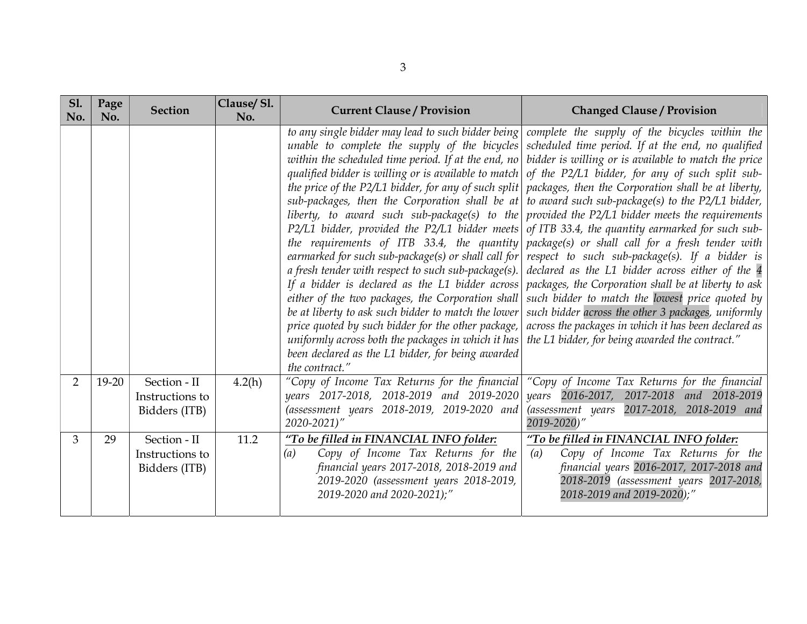| <b>Sl.</b><br>No. | Page<br>No. | <b>Section</b>                                   | Clause/Sl.<br>No. | <b>Current Clause / Provision</b>                                                                                                                                                                                                                                                                                                                                                                                                                                                                                                                                                                                                                                                                                                                                                                                                                                                         | <b>Changed Clause / Provision</b>                                                                                                                                                                                                                                                                                                                                                                                                                                                                                                                                                                                                                                                                                                                                                                                                                                                                                                   |
|-------------------|-------------|--------------------------------------------------|-------------------|-------------------------------------------------------------------------------------------------------------------------------------------------------------------------------------------------------------------------------------------------------------------------------------------------------------------------------------------------------------------------------------------------------------------------------------------------------------------------------------------------------------------------------------------------------------------------------------------------------------------------------------------------------------------------------------------------------------------------------------------------------------------------------------------------------------------------------------------------------------------------------------------|-------------------------------------------------------------------------------------------------------------------------------------------------------------------------------------------------------------------------------------------------------------------------------------------------------------------------------------------------------------------------------------------------------------------------------------------------------------------------------------------------------------------------------------------------------------------------------------------------------------------------------------------------------------------------------------------------------------------------------------------------------------------------------------------------------------------------------------------------------------------------------------------------------------------------------------|
|                   |             |                                                  |                   | unable to complete the supply of the bicycles<br>within the scheduled time period. If at the end, no<br>qualified bidder is willing or is available to match<br>the price of the P2/L1 bidder, for any of such split<br>sub-packages, then the Corporation shall be at<br>liberty, to award such sub-package(s) to the<br>P2/L1 bidder, provided the P2/L1 bidder meets<br>the requirements of ITB 33.4, the quantity<br>earmarked for such sub-package(s) or shall call for<br>a fresh tender with respect to such sub-package $(s)$ .<br>If a bidder is declared as the L1 bidder across<br>either of the two packages, the Corporation shall<br>be at liberty to ask such bidder to match the lower<br>price quoted by such bidder for the other package,<br>uniformly across both the packages in which it has<br>been declared as the L1 bidder, for being awarded<br>the contract." | to any single bidder may lead to such bidder being $ $ complete the supply of the bicycles within the<br>scheduled time period. If at the end, no qualified<br>bidder is willing or is available to match the price<br>of the P2/L1 bidder, for any of such split sub-<br>packages, then the Corporation shall be at liberty,<br>to award such sub-package(s) to the $P2/L1$ bidder,<br>provided the P2/L1 bidder meets the requirements<br>of ITB 33.4, the quantity earmarked for such sub-<br>package(s) or shall call for a fresh tender with<br>respect to such sub-package(s). If a bidder is<br>declared as the L1 bidder across either of the 4<br>packages, the Corporation shall be at liberty to ask<br>such bidder to match the lowest price quoted by<br>such bidder across the other 3 packages, uniformly<br>across the packages in which it has been declared as<br>the L1 bidder, for being awarded the contract." |
| $\overline{2}$    | $19 - 20$   | Section - II<br>Instructions to<br>Bidders (ITB) | 4.2(h)            | "Copy of Income Tax Returns for the financial<br>years 2017-2018, 2018-2019 and 2019-2020<br>(assessment years 2018-2019, 2019-2020 and<br>2020-2021)"                                                                                                                                                                                                                                                                                                                                                                                                                                                                                                                                                                                                                                                                                                                                    | "Copy of Income Tax Returns for the financial<br>years 2016-2017, 2017-2018 and 2018-2019<br>(assessment years 2017-2018, 2018-2019 and<br>2019-2020)"                                                                                                                                                                                                                                                                                                                                                                                                                                                                                                                                                                                                                                                                                                                                                                              |
| 3                 | 29          | Section - II<br>Instructions to<br>Bidders (ITB) | 11.2              | "To be filled in FINANCIAL INFO folder:<br>Copy of Income Tax Returns for the<br>(a)<br>financial years 2017-2018, 2018-2019 and<br>2019-2020 (assessment years 2018-2019,<br>2019-2020 and 2020-2021);"                                                                                                                                                                                                                                                                                                                                                                                                                                                                                                                                                                                                                                                                                  | "To be filled in FINANCIAL INFO folder:<br>Copy of Income Tax Returns for the<br>(a)<br>financial years 2016-2017, 2017-2018 and<br>2018-2019 (assessment years 2017-2018,<br>2018-2019 and 2019-2020);"                                                                                                                                                                                                                                                                                                                                                                                                                                                                                                                                                                                                                                                                                                                            |

3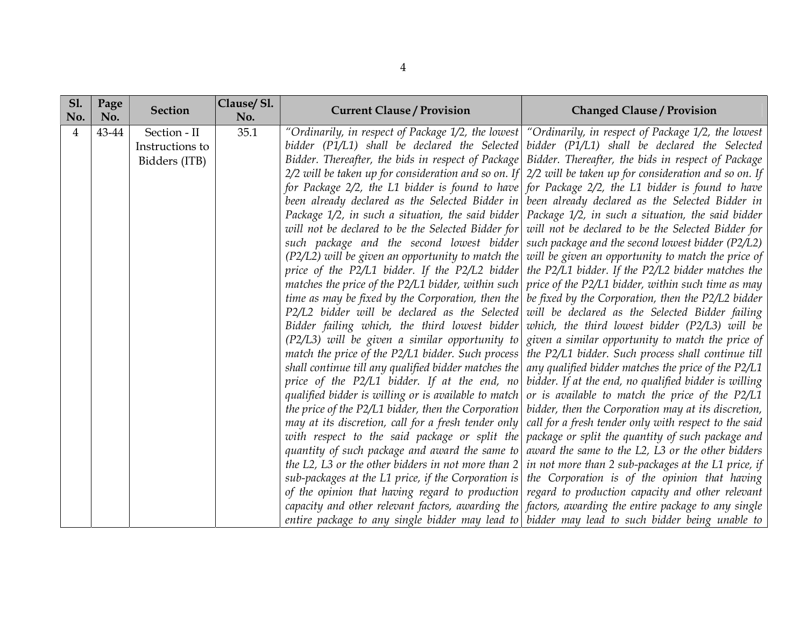| <b>S1.</b><br>No. | Page<br>No. | <b>Section</b>                                   | Clause/Sl.<br>No. | <b>Current Clause / Provision</b> | <b>Changed Clause / Provision</b>                                                                                                                                                                                                                                                                                                                                                                                                                                                                                                                                                                                                                                                                                                                                                                                                                                                                                                                                                                                                                                                                                                                                                                                                                                                                                                                                                                                                                                                                                                                                                                                                                                                                                                                                                                                                                                                                                                                                                                                                                                                                                                                                                                                                                                                                                                                                                                                                                                                                                                                                                                                                                                                                                                                                                                                                                                                                                                                                                                                                                                                                                             |
|-------------------|-------------|--------------------------------------------------|-------------------|-----------------------------------|-------------------------------------------------------------------------------------------------------------------------------------------------------------------------------------------------------------------------------------------------------------------------------------------------------------------------------------------------------------------------------------------------------------------------------------------------------------------------------------------------------------------------------------------------------------------------------------------------------------------------------------------------------------------------------------------------------------------------------------------------------------------------------------------------------------------------------------------------------------------------------------------------------------------------------------------------------------------------------------------------------------------------------------------------------------------------------------------------------------------------------------------------------------------------------------------------------------------------------------------------------------------------------------------------------------------------------------------------------------------------------------------------------------------------------------------------------------------------------------------------------------------------------------------------------------------------------------------------------------------------------------------------------------------------------------------------------------------------------------------------------------------------------------------------------------------------------------------------------------------------------------------------------------------------------------------------------------------------------------------------------------------------------------------------------------------------------------------------------------------------------------------------------------------------------------------------------------------------------------------------------------------------------------------------------------------------------------------------------------------------------------------------------------------------------------------------------------------------------------------------------------------------------------------------------------------------------------------------------------------------------------------------------------------------------------------------------------------------------------------------------------------------------------------------------------------------------------------------------------------------------------------------------------------------------------------------------------------------------------------------------------------------------------------------------------------------------------------------------------------------------|
| 4                 | 43-44       | Section - II<br>Instructions to<br>Bidders (ITB) | 35.1              |                                   | "Ordinarily, in respect of Package 1/2, the lowest "Ordinarily, in respect of Package 1/2, the lowest"<br>bidder (P1/L1) shall be declared the Selected bidder (P1/L1) shall be declared the Selected<br>Bidder. Thereafter, the bids in respect of Package Bidder. Thereafter, the bids in respect of Package<br>$2/2$ will be taken up for consideration and so on. If $2/2$ will be taken up for consideration and so on. If<br>for Package 2/2, the L1 bidder is found to have for Package 2/2, the L1 bidder is found to have<br>been already declared as the Selected Bidder in been already declared as the Selected Bidder in<br>Package $1/2$ , in such a situation, the said bidder Package $1/2$ , in such a situation, the said bidder<br>will not be declared to be the Selected Bidder for will not be declared to be the Selected Bidder for<br>such package and the second lowest bidder such package and the second lowest bidder (P2/L2)<br>$(P2/L2)$ will be given an opportunity to match the will be given an opportunity to match the price of<br>price of the P2/L1 bidder. If the P2/L2 bidder the P2/L1 bidder. If the P2/L2 bidder matches the<br>matches the price of the P2/L1 bidder, within such price of the P2/L1 bidder, within such time as may<br>time as may be fixed by the Corporation, then the $ $ be fixed by the Corporation, then the P2/L2 bidder<br>P2/L2 bidder will be declared as the Selected will be declared as the Selected Bidder failing<br>Bidder failing which, the third lowest bidder which, the third lowest bidder (P2/L3) will be<br>$(P2/L3)$ will be given a similar opportunity to given a similar opportunity to match the price of<br>match the price of the P2/L1 bidder. Such process the P2/L1 bidder. Such process shall continue till<br>shall continue till any qualified bidder matches the $\vert$ any qualified bidder matches the price of the P2/L1<br>price of the P2/L1 bidder. If at the end, no bidder. If at the end, no qualified bidder is willing<br>qualified bidder is willing or is available to match or is available to match the price of the $P2/L1$<br>the price of the P2/L1 bidder, then the Corporation   bidder, then the Corporation may at its discretion,<br>may at its discretion, call for a fresh tender only call for a fresh tender only with respect to the said<br>with respect to the said package or split the package or split the quantity of such package and<br>quantity of such package and award the same to award the same to the L2, L3 or the other bidders<br>the L2, L3 or the other bidders in not more than $2 \mid in$ not more than 2 sub-packages at the L1 price, if<br>sub-packages at the L1 price, if the Corporation is the Corporation is of the opinion that having<br>of the opinion that having regard to production regard to production capacity and other relevant<br>capacity and other relevant factors, awarding the $\vert$ factors, awarding the entire package to any single<br>entire package to any single bidder may lead to bidder may lead to such bidder being unable to |